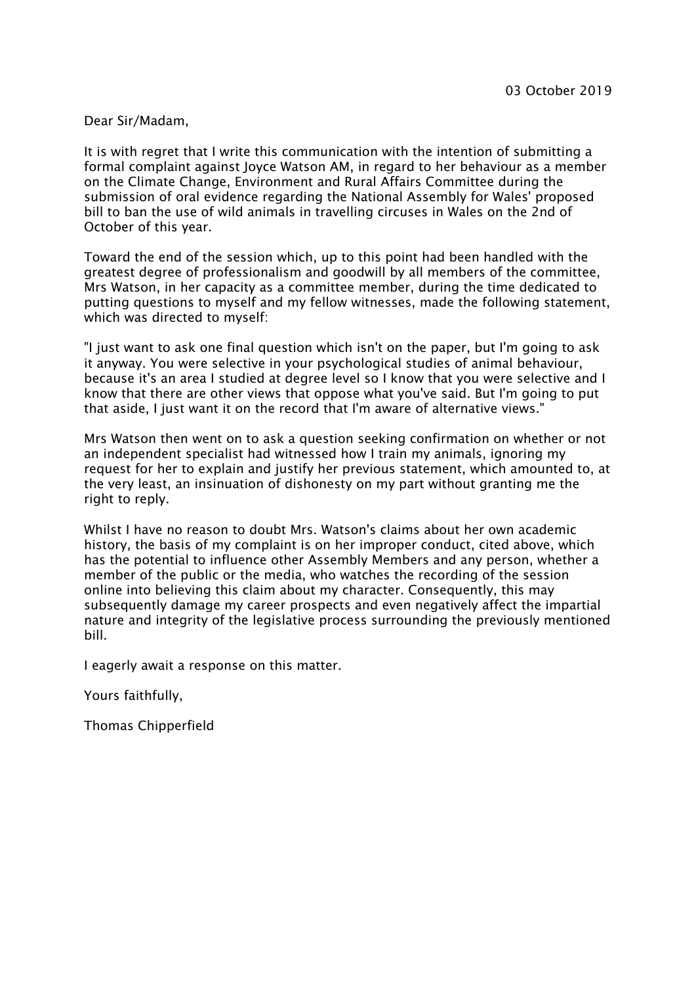## Dear Sir/Madam,

It is with regret that I write this communication with the intention of submitting a formal complaint against Joyce Watson AM, in regard to her behaviour as a member on the Climate Change, Environment and Rural Affairs Committee during the submission of oral evidence regarding the National Assembly for Wales' proposed bill to ban the use of wild animals in travelling circuses in Wales on the 2nd of October of this year.

Toward the end of the session which, up to this point had been handled with the greatest degree of professionalism and goodwill by all members of the committee, Mrs Watson, in her capacity as a committee member, during the time dedicated to putting questions to myself and my fellow witnesses, made the following statement, which was directed to myself:

"I just want to ask one final question which isn't on the paper, but I'm going to ask it anyway. You were selective in your psychological studies of animal behaviour, because it's an area I studied at degree level so I know that you were selective and I know that there are other views that oppose what you've said. But I'm going to put that aside, I just want it on the record that I'm aware of alternative views."

Mrs Watson then went on to ask a question seeking confirmation on whether or not an independent specialist had witnessed how I train my animals, ignoring my request for her to explain and justify her previous statement, which amounted to, at the very least, an insinuation of dishonesty on my part without granting me the right to reply.

Whilst I have no reason to doubt Mrs. Watson's claims about her own academic history, the basis of my complaint is on her improper conduct, cited above, which has the potential to influence other Assembly Members and any person, whether a member of the public or the media, who watches the recording of the session online into believing this claim about my character. Consequently, this may subsequently damage my career prospects and even negatively affect the impartial nature and integrity of the legislative process surrounding the previously mentioned bill.

I eagerly await a response on this matter.

Yours faithfully,

Thomas Chipperfield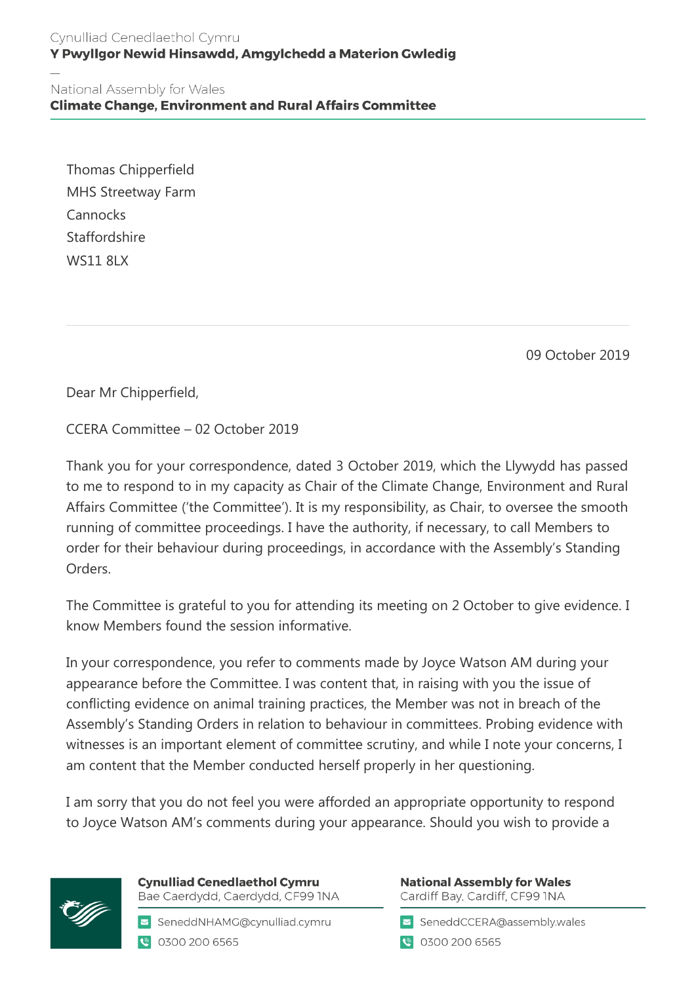## Cynulliad Cenedlaethol Cymru Y Pwyllgor Newid Hinsawdd, Amgylchedd a Materion Gwledig

National Assembly for Wales **Climate Change, Environment and Rural Affairs Committee** 

Thomas Chipperfield MHS Streetway Farm **Cannocks Staffordshire** WS11 8LX

09 October 2019

Dear Mr Chipperfield,

CCERA Committee – 02 October 2019

Thank you for your correspondence, dated 3 October 2019, which the Llywydd has passed to me to respond to in my capacity as Chair of the Climate Change, Environment and Rural Affairs Committee ('the Committee'). It is my responsibility, as Chair, to oversee the smooth running of committee proceedings. I have the authority, if necessary, to call Members to order for their behaviour during proceedings, in accordance with the Assembly's Standing Orders.

The Committee is grateful to you for attending its meeting on 2 October to give evidence. I know Members found the session informative.

In your correspondence, you refer to comments made by Joyce Watson AM during your appearance before the Committee. I was content that, in raising with you the issue of conflicting evidence on animal training practices, the Member was not in breach of the Assembly's Standing Orders in relation to behaviour in committees. Probing evidence with witnesses is an important element of committee scrutiny, and while I note your concerns, I am content that the Member conducted herself properly in her questioning.

I am sorry that you do not feel you were afforded an appropriate opportunity to respond to Joyce Watson AM's comments during your appearance. Should you wish to provide a



**Cynulliad Cenedlaethol Cymru** Bae Caerdydd, Caerdydd, CF99 INA

SeneddNHAMG@cynulliad.cymru C 0300 200 6565

**National Assembly for Wales** Cardiff Bay, Cardiff, CF99 INA

SeneddCCERA@assembly.wales

● 0300 200 6565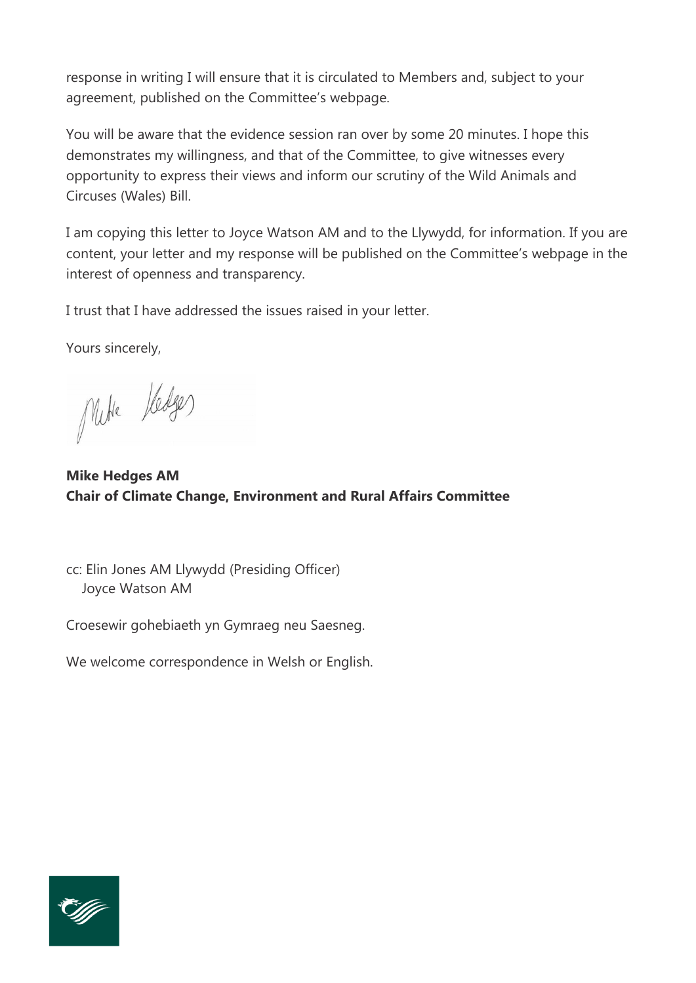response in writing I will ensure that it is circulated to Members and, subject to your agreement, published on the Committee's webpage.

You will be aware that the evidence session ran over by some 20 minutes. I hope this demonstrates my willingness, and that of the Committee, to give witnesses every opportunity to express their views and inform our scrutiny of the Wild Animals and Circuses (Wales) Bill.

I am copying this letter to Joyce Watson AM and to the Llywydd, for information. If you are content, your letter and my response will be published on the Committee's webpage in the interest of openness and transparency.

I trust that I have addressed the issues raised in your letter.

Yours sincerely,

Mike Kedges

**Mike Hedges AM Chair of Climate Change, Environment and Rural Affairs Committee**

cc: Elin Jones AM Llywydd (Presiding Officer) Joyce Watson AM

Croesewir gohebiaeth yn Gymraeg neu Saesneg.

We welcome correspondence in Welsh or English.

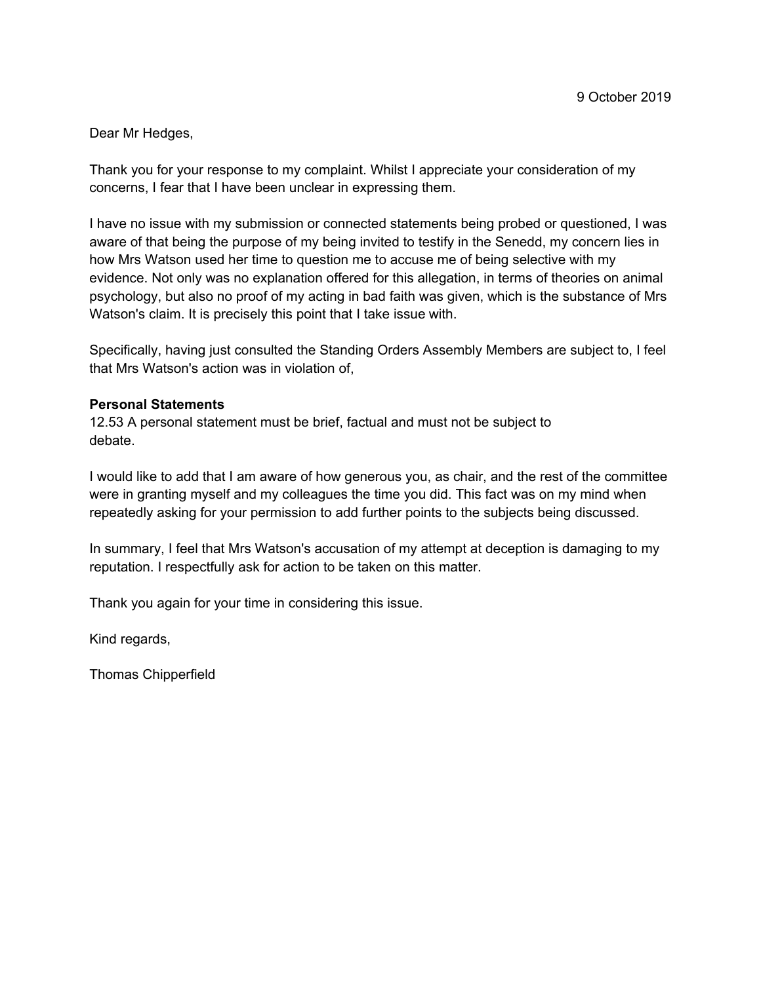Dear Mr Hedges,

Thank you for your response to my complaint. Whilst I appreciate your consideration of my concerns, I fear that I have been unclear in expressing them.

I have no issue with my submission or connected statements being probed or questioned, I was aware of that being the purpose of my being invited to testify in the Senedd, my concern lies in how Mrs Watson used her time to question me to accuse me of being selective with my evidence. Not only was no explanation offered for this allegation, in terms of theories on animal psychology, but also no proof of my acting in bad faith was given, which is the substance of Mrs Watson's claim. It is precisely this point that I take issue with.

Specifically, having just consulted the Standing Orders Assembly Members are subject to, I feel that Mrs Watson's action was in violation of,

## **Personal Statements**

12.53 A personal statement must be brief, factual and must not be subject to debate.

I would like to add that I am aware of how generous you, as chair, and the rest of the committee were in granting myself and my colleagues the time you did. This fact was on my mind when repeatedly asking for your permission to add further points to the subjects being discussed.

In summary, I feel that Mrs Watson's accusation of my attempt at deception is damaging to my reputation. I respectfully ask for action to be taken on this matter.

Thank you again for your time in considering this issue.

Kind regards,

Thomas Chipperfield